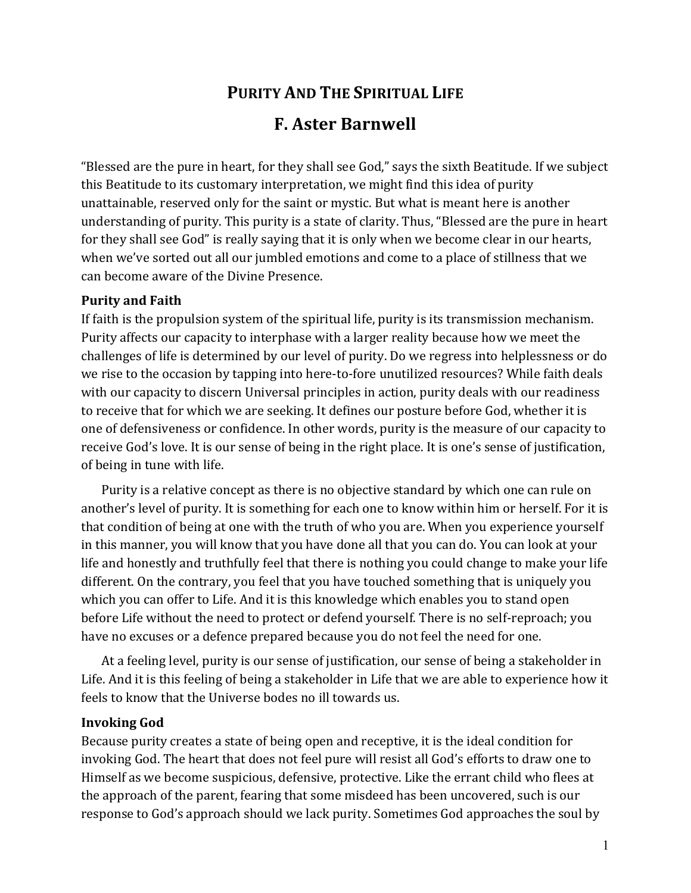# PURITY AND THE SPIRITUAL LIFE

## **F. Aster Barnwell**

"Blessed are the pure in heart, for they shall see God," says the sixth Beatitude. If we subject this Beatitude to its customary interpretation, we might find this idea of purity unattainable, reserved only for the saint or mystic. But what is meant here is another understanding of purity. This purity is a state of clarity. Thus, "Blessed are the pure in heart' for they shall see God" is really saying that it is only when we become clear in our hearts, when we've sorted out all our jumbled emotions and come to a place of stillness that we can become aware of the Divine Presence.

### **Purity'and'Faith**

If faith is the propulsion system of the spiritual life, purity is its transmission mechanism. Purity affects our capacity to interphase with a larger reality because how we meet the challenges of life is determined by our level of purity. Do we regress into helplessness or do we rise to the occasion by tapping into here-to-fore unutilized resources? While faith deals with our capacity to discern Universal principles in action, purity deals with our readiness to receive that for which we are seeking. It defines our posture before God, whether it is one of defensiveness or confidence. In other words, purity is the measure of our capacity to receive God's love. It is our sense of being in the right place. It is one's sense of justification, of being in tune with life.

Purity is a relative concept as there is no objective standard by which one can rule on another's level of purity. It is something for each one to know within him or herself. For it is that condition of being at one with the truth of who you are. When you experience yourself in this manner, you will know that you have done all that you can do. You can look at your life and honestly and truthfully feel that there is nothing you could change to make your life different. On the contrary, you feel that you have touched something that is uniquely you which you can offer to Life. And it is this knowledge which enables you to stand open before Life without the need to protect or defend yourself. There is no self-reproach; you have no excuses or a defence prepared because you do not feel the need for one.

At a feeling level, purity is our sense of justification, our sense of being a stakeholder in Life. And it is this feeling of being a stakeholder in Life that we are able to experience how it feels to know that the Universe bodes no ill towards us.

### **Invoking'God**

Because purity creates a state of being open and receptive, it is the ideal condition for invoking God. The heart that does not feel pure will resist all God's efforts to draw one to Himself as we become suspicious, defensive, protective. Like the errant child who flees at the approach of the parent, fearing that some misdeed has been uncovered, such is our response to God's approach should we lack purity. Sometimes God approaches the soul by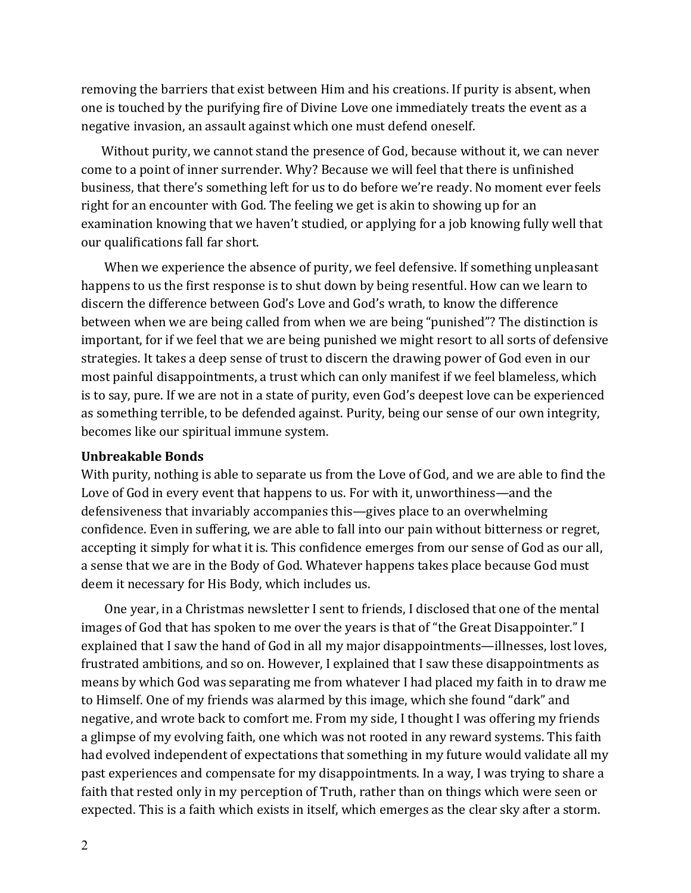removing the barriers that exist between Him and his creations. If purity is absent, when one is touched by the purifying fire of Divine Love one immediately treats the event as a negative invasion, an assault against which one must defend oneself.

Without purity, we cannot stand the presence of God, because without it, we can never come to a point of inner surrender. Why? Because we will feel that there is unfinished business, that there's something left for us to do before we're ready. No moment ever feels right for an encounter with God. The feeling we get is akin to showing up for an examination' knowing that we haven't studied, or applying for a job knowing fully well that our qualifications fall far short.

When we experience the absence of purity, we feel defensive. If something unpleasant happens to us the first response is to shut down by being resentful. How can we learn to discern the difference between God's Love and God's wrath, to know the difference between when we are being called from when we are being "punished"? The distinction is important, for if we feel that we are being punished we might resort to all sorts of defensive strategies. It takes a deep sense of trust to discern the drawing power of God even in our most painful disappointments, a trust which can only manifest if we feel blameless, which is to say, pure. If we are not in a state of purity, even God's deepest love can be experienced as something terrible, to be defended against. Purity, being our sense of our own integrity, becomes like our spiritual immune system.

#### **Unbreakable'Bonds**

With purity, nothing is able to separate us from the Love of God, and we are able to find the Love of God in every event that happens to us. For with it, unworthiness—and the defensiveness that invariably accompanies this—gives place to an overwhelming confidence. Even in suffering, we are able to fall into our pain without bitterness or regret, accepting it simply for what it is. This confidence emerges from our sense of God as our all, a sense that we are in the Body of God. Whatever happens takes place because God must deem it necessary for His Body, which includes us.

One year, in a Christmas newsletter I sent to friends, I disclosed that one of the mental images of God that has spoken to me over the years is that of "the Great Disappointer." I explained that I saw the hand of God in all my major disappointments—illnesses, lost loves, frustrated ambitions, and so on. However, I explained that I saw these disappointments as means by which God was separating me from whatever I had placed my faith in to draw me to Himself. One of my friends was alarmed by this image, which she found "dark" and negative, and wrote back to comfort me. From my side, I thought I was offering my friends a glimpse of my evolving faith, one which was not rooted in any reward systems. This faith had evolved independent of expectations that something in my future would validate all my past experiences and compensate for my disappointments. In a way, I was trying to share a faith that rested only in my perception of Truth, rather than on things which were seen or expected. This is a faith which exists in itself, which emerges as the clear sky after a storm.